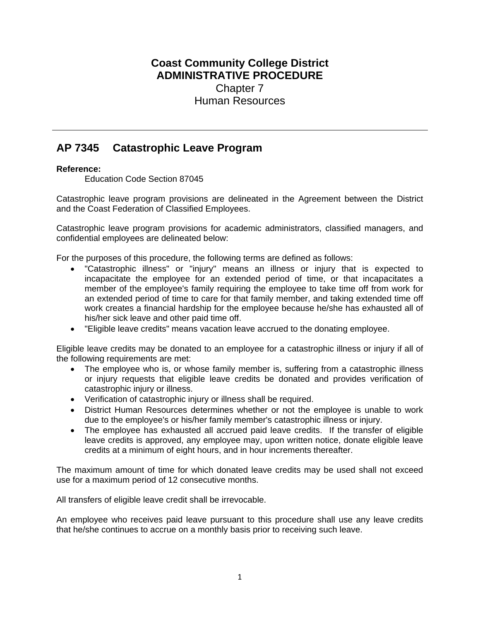# **Coast Community College District ADMINISTRATIVE PROCEDURE** Chapter 7 Human Resources

# **AP 7345 Catastrophic Leave Program**

# **Reference:**

Education Code Section 87045

Catastrophic leave program provisions are delineated in the Agreement between the District and the Coast Federation of Classified Employees.

Catastrophic leave program provisions for academic administrators, classified managers, and confidential employees are delineated below:

For the purposes of this procedure, the following terms are defined as follows:

- "Catastrophic illness" or "injury" means an illness or injury that is expected to incapacitate the employee for an extended period of time, or that incapacitates a member of the employee's family requiring the employee to take time off from work for an extended period of time to care for that family member, and taking extended time off work creates a financial hardship for the employee because he/she has exhausted all of his/her sick leave and other paid time off.
- "Eligible leave credits" means vacation leave accrued to the donating employee.

Eligible leave credits may be donated to an employee for a catastrophic illness or injury if all of the following requirements are met:

- The employee who is, or whose family member is, suffering from a catastrophic illness or injury requests that eligible leave credits be donated and provides verification of catastrophic injury or illness.
- Verification of catastrophic injury or illness shall be required.
- District Human Resources determines whether or not the employee is unable to work due to the employee's or his/her family member's catastrophic illness or injury.
- The employee has exhausted all accrued paid leave credits. If the transfer of eligible leave credits is approved, any employee may, upon written notice, donate eligible leave credits at a minimum of eight hours, and in hour increments thereafter.

The maximum amount of time for which donated leave credits may be used shall not exceed use for a maximum period of 12 consecutive months.

All transfers of eligible leave credit shall be irrevocable.

An employee who receives paid leave pursuant to this procedure shall use any leave credits that he/she continues to accrue on a monthly basis prior to receiving such leave.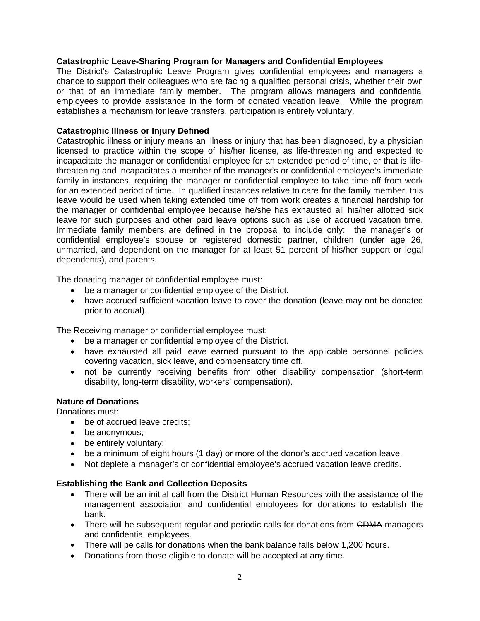#### **Catastrophic Leave-Sharing Program for Managers and Confidential Employees**

The District's Catastrophic Leave Program gives confidential employees and managers a chance to support their colleagues who are facing a qualified personal crisis, whether their own or that of an immediate family member. The program allows managers and confidential employees to provide assistance in the form of donated vacation leave. While the program establishes a mechanism for leave transfers, participation is entirely voluntary.

#### **Catastrophic Illness or Injury Defined**

Catastrophic illness or injury means an illness or injury that has been diagnosed, by a physician licensed to practice within the scope of his/her license, as life-threatening and expected to incapacitate the manager or confidential employee for an extended period of time, or that is lifethreatening and incapacitates a member of the manager's or confidential employee's immediate family in instances, requiring the manager or confidential employee to take time off from work for an extended period of time. In qualified instances relative to care for the family member, this leave would be used when taking extended time off from work creates a financial hardship for the manager or confidential employee because he/she has exhausted all his/her allotted sick leave for such purposes and other paid leave options such as use of accrued vacation time. Immediate family members are defined in the proposal to include only: the manager's or confidential employee's spouse or registered domestic partner, children (under age 26, unmarried, and dependent on the manager for at least 51 percent of his/her support or legal dependents), and parents.

The donating manager or confidential employee must:

- be a manager or confidential employee of the District.
- have accrued sufficient vacation leave to cover the donation (leave may not be donated prior to accrual).

The Receiving manager or confidential employee must:

- be a manager or confidential employee of the District.
- have exhausted all paid leave earned pursuant to the applicable personnel policies covering vacation, sick leave, and compensatory time off.
- not be currently receiving benefits from other disability compensation (short-term disability, long-term disability, workers' compensation).

# **Nature of Donations**

Donations must:

- be of accrued leave credits;
- be anonymous;
- be entirely voluntary;
- be a minimum of eight hours (1 day) or more of the donor's accrued vacation leave.
- Not deplete a manager's or confidential employee's accrued vacation leave credits.

#### **Establishing the Bank and Collection Deposits**

- There will be an initial call from the District Human Resources with the assistance of the management association and confidential employees for donations to establish the bank.
- There will be subsequent regular and periodic calls for donations from CDMA managers and confidential employees.
- There will be calls for donations when the bank balance falls below 1,200 hours.
- Donations from those eligible to donate will be accepted at any time.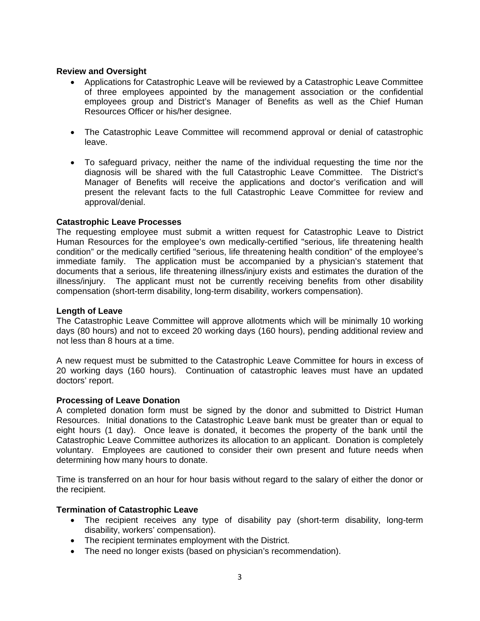#### **Review and Oversight**

- Applications for Catastrophic Leave will be reviewed by a Catastrophic Leave Committee of three employees appointed by the management association or the confidential employees group and District's Manager of Benefits as well as the Chief Human Resources Officer or his/her designee.
- The Catastrophic Leave Committee will recommend approval or denial of catastrophic leave.
- To safeguard privacy, neither the name of the individual requesting the time nor the diagnosis will be shared with the full Catastrophic Leave Committee. The District's Manager of Benefits will receive the applications and doctor's verification and will present the relevant facts to the full Catastrophic Leave Committee for review and approval/denial.

#### **Catastrophic Leave Processes**

The requesting employee must submit a written request for Catastrophic Leave to District Human Resources for the employee's own medically-certified "serious, life threatening health condition" or the medically certified "serious, life threatening health condition" of the employee's immediate family. The application must be accompanied by a physician's statement that documents that a serious, life threatening illness/injury exists and estimates the duration of the illness/injury. The applicant must not be currently receiving benefits from other disability compensation (short-term disability, long-term disability, workers compensation).

#### **Length of Leave**

The Catastrophic Leave Committee will approve allotments which will be minimally 10 working days (80 hours) and not to exceed 20 working days (160 hours), pending additional review and not less than 8 hours at a time.

A new request must be submitted to the Catastrophic Leave Committee for hours in excess of 20 working days (160 hours). Continuation of catastrophic leaves must have an updated doctors' report.

#### **Processing of Leave Donation**

A completed donation form must be signed by the donor and submitted to District Human Resources. Initial donations to the Catastrophic Leave bank must be greater than or equal to eight hours (1 day). Once leave is donated, it becomes the property of the bank until the Catastrophic Leave Committee authorizes its allocation to an applicant. Donation is completely voluntary. Employees are cautioned to consider their own present and future needs when determining how many hours to donate.

Time is transferred on an hour for hour basis without regard to the salary of either the donor or the recipient.

#### **Termination of Catastrophic Leave**

- The recipient receives any type of disability pay (short-term disability, long-term disability, workers' compensation).
- The recipient terminates employment with the District.
- The need no longer exists (based on physician's recommendation).